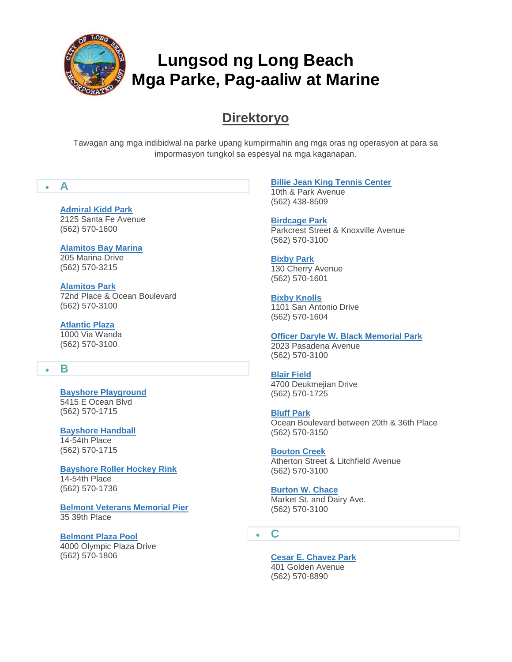

# **Direktoryo**

Tawagan ang mga indibidwal na parke upang kumpirmahin ang mga oras ng operasyon at para sa impormasyon tungkol sa espesyal na mga kaganapan.

# **A**

# **[Admiral Kidd Park](http://www.longbeach.gov/park/park-and-facilities/directory/admiral-kidd-park/)**

2125 Santa Fe Avenue (562) 570-1600

**[Alamitos Bay Marina](http://www.longbeach.gov/park/park-and-facilities/directory/alamitos-bay-marina/)** 205 Marina Drive (562) 570-3215

**[Alamitos Park](http://www.longbeach.gov/park/park-and-facilities/directory/alamitos-park/)**

72nd Place & Ocean Boulevard (562) 570-3100

#### **[Atlantic Plaza](http://www.longbeach.gov/park/park-and-facilities/directory/atlantic-plaza/)**

1000 Via Wanda (562) 570-3100

# **B**

**[Bayshore Playground](http://www.longbeach.gov/park/park-and-facilities/directory/bayshore-playground/)** 5415 E Ocean Blvd (562) 570-1715

#### **[Bayshore Handball](http://www.longbeach.gov/park/park-and-facilities/directory/bayshore-handball-courts/)**

14-54th Place (562) 570-1715

**[Bayshore Roller Hockey Rink](http://www.longbeach.gov/park/park-and-facilities/directory/bayshore-roller-hockey-rink/)** 14-54th Place

(562) 570-1736

**[Belmont Veterans Memorial Pier](http://www.longbeach.gov/park/park-and-facilities/parks-centers-pier/belmont-veterans-memorial-pier/)** 35 39th Place

#### **[Belmont Plaza Pool](http://www.longbeach.gov/park/recreation-programs/aquatics/pools/belmont-pool/)**

4000 Olympic Plaza Drive (562) 570-1806

### **[Billie Jean King Tennis Center](http://www.longbeach.gov/park/park-and-facilities/directory/billie-jean-king-tennis-center/)**

10th & Park Avenue (562) 438-8509

**[Birdcage Park](http://www.longbeach.gov/park/park-and-facilities/directory/birdcage-park/)** Parkcrest Street & Knoxville Avenue (562) 570-3100

**[Bixby Park](http://www.longbeach.gov/park/park-and-facilities/directory/bixby-park/)** 130 Cherry Avenue (562) 570-1601

**[Bixby Knolls](http://www.longbeach.gov/park/park-and-facilities/directory/bixby-knolls/)** 1101 San Antonio Drive (562) 570-1604

#### **[Officer Daryle W. Black Memorial Park](http://www.longbeach.gov/park/park-and-facilities/directory/daryle-black-park/)**

2023 Pasadena Avenue (562) 570-3100

**[Blair Field](http://www.longbeach.gov/park/park-and-facilities/directory/blair-field/)**

4700 Deukmejian Drive (562) 570-1725

**[Bluff Park](http://www.longbeach.gov/park/park-and-facilities/directory/bluff-park/)** Ocean Boulevard between 20th & 36th Place

(562) 570-3150 **[Bouton Creek](http://www.longbeach.gov/park/park-and-facilities/directory/bouton-creek-park/)** Atherton Street & Litchfield Avenue

(562) 570-3100

#### **[Burton W. Chace](http://www.longbeach.gov/park/park-and-facilities/directory/burton-w--chace-park/)**

Market St. and Dairy Ave. (562) 570-3100

**C**

### **[Cesar E. Chavez Park](http://www.longbeach.gov/park/park-and-facilities/directory/cesar-e--chavez-park/)**

401 Golden Avenue (562) 570-8890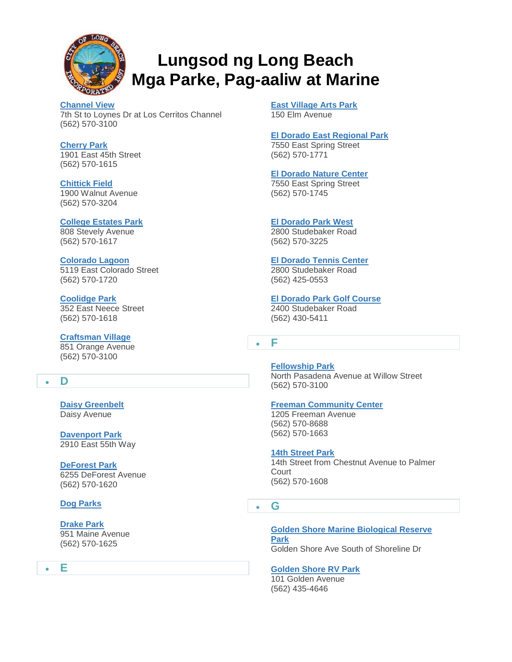

**[Channel View](http://www.longbeach.gov/park/park-and-facilities/directory/channel-view-park/)** 7th St to Loynes Dr at Los Cerritos Channel (562) 570-3100

**[Cherry Park](http://www.longbeach.gov/park/park-and-facilities/directory/cherry-park/)** 1901 East 45th Street (562) 570-1615

**[Chittick Field](http://www.longbeach.gov/park/park-and-facilities/directory/chittick-field/)** 1900 Walnut Avenue (562) 570-3204

**[College Estates Park](http://www.longbeach.gov/park/park-and-facilities/directory/college-estates-park/)** 808 Stevely Avenue

(562) 570-1617

#### **[Colorado Lagoon](http://www.longbeach.gov/park/recreation-programs/aquatics/colorado-lagoon/)** 5119 East Colorado Street (562) 570-1720

**[Coolidge Park](http://www.longbeach.gov/park/park-and-facilities/directory/coolidge-park/)** 352 East Neece Street (562) 570-1618

#### **[Craftsman Village](http://www.longbeach.gov/Park/Park-and-Facilities/Directory/Craftsman-Village-Park/)** 851 Orange Avenue

(562) 570-3100

# **D**

**[Daisy Greenbelt](http://www.longbeach.gov/park/park-and-facilities/directory/daisy-greenbelt/)** Daisy Avenue

**[Davenport Park](http://www.longbeach.gov/park/park-and-facilities/directory/ed-pops-davenport-park/)** 2910 East 55th Way

**[DeForest Park](http://www.longbeach.gov/park/park-and-facilities/directory/deforest-park/)** 6255 DeForest Avenue (562) 570-1620

# **[Dog Parks](http://www.longbeach.gov/park/park-and-facilities/directory/dog-parks/)**

**[Drake Park](http://www.longbeach.gov/park/park-and-facilities/directory/drake-park/)** 951 Maine Avenue (562) 570-1625

**E**

**[East Village Arts Park](http://www.longbeach.gov/park/park-and-facilities/directory/east-village-arts-park/)** 150 Elm Avenue

**[El Dorado East Regional Park](http://www.longbeach.gov/park/park-and-facilities/directory/el-dorado-east-regional-park/)** 7550 East Spring Street (562) 570-1771

**[El Dorado Nature Center](http://www.longbeach.gov/park/park-and-facilities/parks-centers-pier/el-dorado-nature-center/)**

7550 East Spring Street (562) 570-1745

# **[El Dorado Park West](http://www.longbeach.gov/park/park-and-facilities/directory/el-dorado-park-west/)**

2800 Studebaker Road (562) 570-3225

**[El Dorado Tennis Center](http://www.longbeach.gov/park/park-and-facilities/directory/el-dorado-tennis-center/)**

2800 Studebaker Road (562) 425-0553

**[El Dorado Park Golf Course](http://www.longbeach.gov/park/park-and-facilities/directory/el-dorado-golf-course/)** 2400 Studebaker Road (562) 430-5411

**F**

**[Fellowship Park](http://www.longbeach.gov/park/park-and-facilities/directory/fellowship-park/)** North Pasadena Avenue at Willow Street (562) 570-3100

#### **[Freeman Community Center](http://www.longbeach.gov/park/park-and-facilities/directory/freeman-community-center/)**

1205 Freeman Avenue (562) 570-8688 (562) 570-1663

**[14th Street Park](http://www.longbeach.gov/park/park-and-facilities/directory/14th-street-park/)** 14th Street from Chestnut Avenue to Palmer **Court** (562) 570-1608

**G**

**[Golden Shore Marine Biological Reserve](http://www.longbeach.gov/park/park-and-facilities/directory/golden-shore-marine-biological-reserve-park/)  [Park](http://www.longbeach.gov/park/park-and-facilities/directory/golden-shore-marine-biological-reserve-park/)** Golden Shore Ave South of Shoreline Dr

**[Golden Shore RV Park](http://www.longbeach.gov/park/park-and-facilities/directory/golden-shore-rv-resort/)**

101 Golden Avenue (562) 435-4646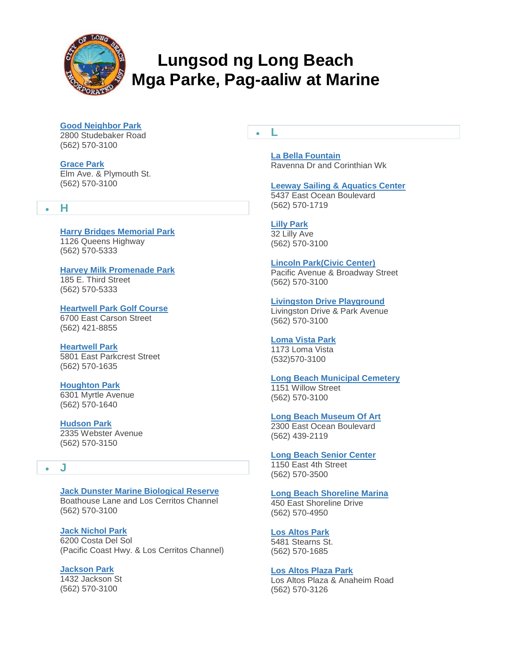

**[Good Neighbor Park](http://www.longbeach.gov/park/park-and-facilities/directory/good-neighbor-park/)** 2800 Studebaker Road (562) 570-3100

**[Grace Park](http://www.longbeach.gov/park/park-and-facilities/directory/grace-park/)** Elm Ave. & Plymouth St. (562) 570-3100

#### **H**

**[Harry Bridges Memorial Park](http://www.longbeach.gov/park/park-and-facilities/directory/queen-mary-events-park/)**

1126 Queens Highway (562) 570-5333

**[Harvey Milk Promenade Park](http://www.longbeach.gov/park/park-and-facilities/directory/harvey-milk-promenade-park/)** 185 E. Third Street

(562) 570-5333

**[Heartwell Park Golf Course](http://www.longbeach.gov/park/park-and-facilities/directory/heartwell-golf-course/)** 6700 East Carson Street (562) 421-8855

**[Heartwell Park](http://www.longbeach.gov/park/park-and-facilities/directory/heartwell-park/)** 5801 East Parkcrest Street (562) 570-1635

**[Houghton Park](http://www.longbeach.gov/park/park-and-facilities/directory/houghton-park/)** 6301 Myrtle Avenue (562) 570-1640

**[Hudson Park](http://www.longbeach.gov/park/park-and-facilities/directory/hudson-park/)** 2335 Webster Avenue (562) 570-3150

# **J**

**[Jack Dunster Marine Biological Reserve](http://www.longbeach.gov/park/park-and-facilities/directory/jack-dunster-marine-biological-reserve/)** Boathouse Lane and Los Cerritos Channel (562) 570-3100

**[Jack Nichol Park](http://www.longbeach.gov/park/park-and-facilities/directory/jack-nichol-park/)** 6200 Costa Del Sol (Pacific Coast Hwy. & Los Cerritos Channel)

**[Jackson Park](http://www.longbeach.gov/park/park-and-facilities/directory/jackson-park/)** 1432 Jackson St (562) 570-3100

**L**

**[La Bella Fountain](http://www.longbeach.gov/park/park-and-facilities/directory/la-bella-fontana-di-napoli/)** Ravenna Dr and Corinthian Wk

**[Leeway Sailing & Aquatics Center](http://www.longbeach.gov/park/recreation-programs/aquatics/leeway-sailing-and-aquatics-center/)**

5437 East Ocean Boulevard (562) 570-1719

**[Lilly Park](http://www.longbeach.gov/park/park-and-facilities/directory/lilly-park/)** 32 Lilly Ave (562) 570-3100

**[Lincoln Park\(Civic Center\)](http://www.longbeach.gov/park/park-and-facilities/directory/lincoln-park/)** Pacific Avenue & Broadway Street (562) 570-3100

**[Livingston Drive Playground](http://www.longbeach.gov/park/park-and-facilities/directory/livingston-drive-playground/)** Livingston Drive & Park Avenue (562) 570-3100

**[Loma Vista Park](http://www.longbeach.gov/park/park-and-facilities/directory/loma-vista/)** 1173 Loma Vista (532)570-3100

**[Long Beach Municipal Cemetery](http://www.longbeach.gov/park/park-and-facilities/directory/long-beach-municipal-cemetery/)** 1151 Willow Street

(562) 570-3100 **[Long Beach Museum Of Art](http://www.longbeach.gov/park/park-and-facilities/directory/long-beach-museum-of-art/)**

2300 East Ocean Boulevard (562) 439-2119

**[Long Beach Senior Center](http://www.longbeach.gov/park/park-and-facilities/directory/long-beach-senior-center/)** 1150 East 4th Street (562) 570-3500

**[Long Beach Shoreline Marina](http://www.longbeach.gov/park/park-and-facilities/directory/long-beach-shoreline-marina/)** 450 East Shoreline Drive (562) 570-4950

**[Los Altos Park](http://www.longbeach.gov/park/park-and-facilities/directory/los-altos-park/)** 5481 Stearns St. (562) 570-1685

**[Los Altos Plaza Park](http://www.longbeach.gov/park/park-and-facilities/directory/los-altos-park-plaza/)** Los Altos Plaza & Anaheim Road (562) 570-3126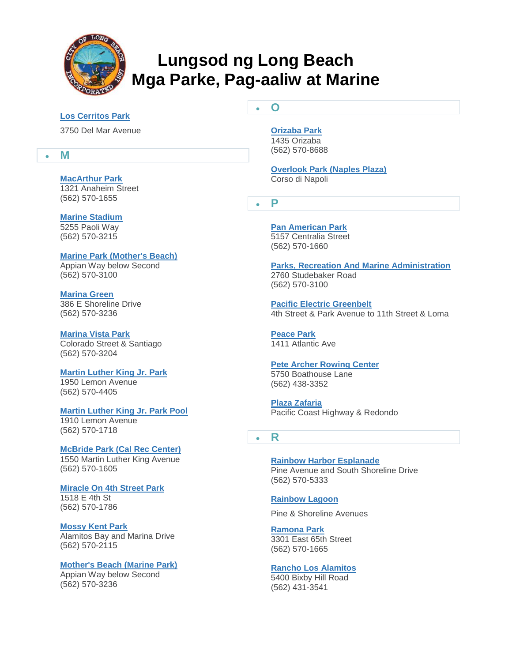

**O**

#### **[Los Cerritos Park](http://www.longbeach.gov/park/park-and-facilities/directory/los-cerritos-park/)**

3750 Del Mar Avenue

#### **M**

#### **[MacArthur Park](http://www.longbeach.gov/park/park-and-facilities/directory/macarthur-park/)**

1321 Anaheim Street (562) 570-1655

**[Marine Stadium](http://www.longbeach.gov/park/park-and-facilities/directory/marine-stadium/)** 5255 Paoli Way (562) 570-3215

**[Marine Park \(Mother's Beach\)](http://www.longbeach.gov/park/park-and-facilities/directory/marine-park-(mothers-beach)/)** Appian Way below Second (562) 570-3100

**[Marina Green](http://www.longbeach.gov/park/park-and-facilities/directory/marina-green/)** 386 E Shoreline Drive (562) 570-3236

**[Marina Vista Park](http://www.longbeach.gov/park/park-and-facilities/directory/marina-vista-park/)** Colorado Street & Santiago (562) 570-3204

**[Martin Luther King Jr. Park](http://www.longbeach.gov/park/park-and-facilities/directory/martin-luther-king-jr--park/)**

1950 Lemon Avenue (562) 570-4405

**[Martin Luther King Jr. Park Pool](http://www.longbeach.gov/park/recreation-programs/aquatics/pools/martin-luther-king-jr-park-pool/)**

1910 Lemon Avenue (562) 570-1718

**[McBride Park \(Cal Rec Center\)](http://www.longbeach.gov/park/park-and-facilities/directory/mcbride-park/)**

1550 Martin Luther King Avenue (562) 570-1605

#### **[Miracle On 4th Street Park](http://www.longbeach.gov/park/park-and-facilities/directory/miracle-on-fourth-street-park/)**

1518 E 4th St (562) 570-1786

**[Mossy Kent Park](http://www.longbeach.gov/park/park-and-facilities/directory/mossy-kent-park/)**

Alamitos Bay and Marina Drive (562) 570-2115

**[Mother's Beach \(Marine Park\)](http://www.longbeach.gov/park/park-and-facilities/directory/marine-park-(mothers-beach)/)**

Appian Way below Second (562) 570-3236

#### **[Orizaba Park](http://www.longbeach.gov/park/park-and-facilities/directory/orizaba-park/)** 1435 Orizaba

(562) 570-8688

**[Overlook Park \(Naples Plaza\)](http://www.longbeach.gov/park/park-and-facilities/directory/overlook-park/)** Corso di Napoli

**P**

**[Pan American Park](http://www.longbeach.gov/park/park-and-facilities/directory/pan-american-park/)** 5157 Centralia Street (562) 570-1660

**[Parks, Recreation And Marine Administration](http://www.longbeach.gov/park/park-and-facilities/directory/parks-recreation-and-marine-administration-offices/)** 2760 Studebaker Road (562) 570-3100

**[Pacific Electric Greenbelt](http://www.longbeach.gov/park/park-and-facilities/directory/pacific-electric-greenbelt/)** 4th Street & Park Avenue to 11th Street & Loma

**[Peace Park](http://www.longbeach.gov/park/park-and-facilities/directory/peace-park/)** 1411 Atlantic Ave

#### **[Pete Archer Rowing Center](http://www.longbeach.gov/park/recreation-programs/aquatics/pete-archer-rowing-center/)** 5750 Boathouse Lane (562) 438-3352

**[Plaza Zafaria](http://www.longbeach.gov/park/park-and-facilities/directory/plaza-zafaria/)** Pacific Coast Highway & Redondo

# **R**

**[Rainbow Harbor Esplanade](http://www.longbeach.gov/park/park-and-facilities/directory/rainbow-harbor-esplanade/)** Pine Avenue and South Shoreline Drive (562) 570-5333

#### **[Rainbow Lagoon](http://www.longbeach.gov/park/park-and-facilities/directory/rainbow-lagoon/)**

Pine & Shoreline Avenues

**[Ramona Park](http://www.longbeach.gov/park/park-and-facilities/directory/ramona-park/)** 3301 East 65th Street (562) 570-1665

# **[Rancho Los Alamitos](http://www.longbeach.gov/park/park-and-facilities/directory/rancho-los-alamitos/)**

5400 Bixby Hill Road (562) 431-3541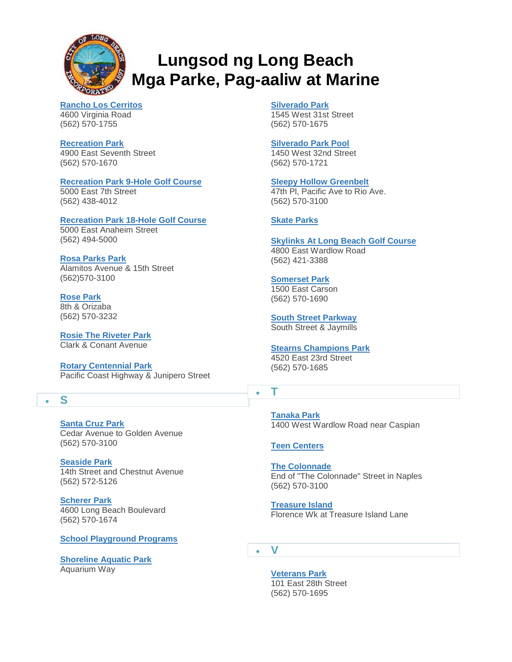

**[Rancho Los Cerritos](http://www.longbeach.gov/park/park-and-facilities/directory/rancho-los-cerritos/)** 4600 Virginia Road (562) 570-1755

**[Recreation Park](http://www.longbeach.gov/park/park-and-facilities/directory/recreation-park/)** 4900 East Seventh Street (562) 570-1670

#### **[Recreation Park 9-Hole Golf Course](http://www.longbeach.gov/park/park-and-facilities/directory/recreation-park-south-9-hole-golf-course/)**

5000 East 7th Street (562) 438-4012

#### **[Recreation Park 18-Hole Golf Course](http://www.longbeach.gov/park/park-and-facilities/directory/recreation-park-18-hole-golf-course/)**

5000 East Anaheim Street (562) 494-5000

#### **[Rosa Parks Park](http://www.longbeach.gov/park/park-and-facilities/directory/rosa-parks-park/)**

Alamitos Avenue & 15th Street (562)570-3100

# **[Rose Park](http://www.longbeach.gov/park/park-and-facilities/directory/rose-park/)**

8th & Orizaba (562) 570-3232

**[Rosie The Riveter Park](http://www.longbeach.gov/park/park-and-facilities/directory/rosie-the-riveter-park/)** Clark & Conant Avenue

**[Rotary Centennial Park](http://www.longbeach.gov/park/park-and-facilities/directory/rotary-centennial-park/)** Pacific Coast Highway & Junipero Street

# **S**

**[Santa Cruz Park](http://www.longbeach.gov/park/park-and-facilities/directory/santa-cruz-park/)** Cedar Avenue to Golden Avenue (562) 570-3100

**[Seaside Park](http://www.longbeach.gov/park/park-and-facilities/directory/seaside-park/)** 14th Street and Chestnut Avenue (562) 572-5126

**[Scherer Park](http://www.longbeach.gov/park/park-and-facilities/directory/scherer-park/)** 4600 Long Beach Boulevard (562) 570-1674

**[School Playground Programs](http://www.longbeach.gov/park/park-and-facilities/directory/school-playground-programs/)**

**[Shoreline Aquatic Park](http://www.longbeach.gov/park/park-and-facilities/directory/shoreline-aquatic-park/)** Aquarium Way

**[Silverado Park](http://www.longbeach.gov/park/park-and-facilities/directory/silverado-park/)**

1545 West 31st Street (562) 570-1675

#### **[Silverado Park Pool](http://www.longbeach.gov/park/recreation-programs/aquatics/pools/silverado-park-pool/)**

1450 West 32nd Street (562) 570-1721

**[Sleepy Hollow Greenbelt](http://www.longbeach.gov/park/park-and-facilities/directory/sleepy-hollow-greenbelt/)** 47th Pl, Pacific Ave to Rio Ave. (562) 570-3100

#### **[Skate Parks](http://www.longbeach.gov/park/recreation-programs/sports-and-athletics/skate-parks/)**

**[Skylinks At Long Beach Golf Course](http://www.longbeach.gov/park/park-and-facilities/directory/skylinks-golf-course/)** 4800 East Wardlow Road (562) 421-3388

**[Somerset Park](http://www.longbeach.gov/park/park-and-facilities/directory/somerset-park/)** 1500 East Carson (562) 570-1690

**[South Street Parkway](http://www.longbeach.gov/park/park-and-facilities/directory/south-street-parkway/)** South Street & Jaymills

**[Stearns Champions Park](http://www.longbeach.gov/park/park-and-facilities/directory/stearns-champions-park/)** 4520 East 23rd Street (562) 570-1685

# **T**

**[Tanaka Park](http://www.longbeach.gov/park/park-and-facilities/directory/tanaka-park/)** 1400 West Wardlow Road near Caspian

**[Teen Centers](http://www.longbeach.gov/park/recreation-programs/programs-and-classes/youth-and-teen-programs/teen-centers/)**

**[The Colonnade](http://www.longbeach.gov/park/park-and-facilities/directory/the-colonnade/)** End of "The Colonnade" Street in Naples (562) 570-3100

**[Treasure Island](http://www.longbeach.gov/park/park-and-facilities/directory/treasure-island/)** Florence Wk at Treasure Island Lane

**V**

**[Veterans Park](http://www.longbeach.gov/park/park-and-facilities/directory/veterans-park/)** 101 East 28th Street (562) 570-1695